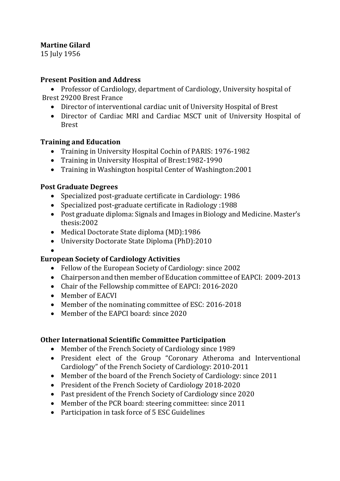## **Martine Gilard**

15 July 1956

### **Present Position and Address**

• Professor of Cardiology, department of Cardiology, University hospital of Brest 29200 Brest France

- Director of interventional cardiac unit of University Hospital of Brest
- Director of Cardiac MRI and Cardiac MSCT unit of University Hospital of Brest

## **Training and Education**

- Training in University Hospital Cochin of PARIS: 1976-1982
- Training in University Hospital of Brest:1982-1990
- Training in Washington hospital Center of Washington:2001

## **Post Graduate Degrees**

- Specialized post-graduate certificate in Cardiology: 1986
- Specialized post-graduate certificate in Radiology :1988
- Post graduate diploma: Signals and Images in Biology and Medicine. Master's thesis:2002
- Medical Doctorate State diploma (MD):1986
- University Doctorate State Diploma (PhD):2010

#### • **European Society of Cardiology Activities**

- Fellow of the European Society of Cardiology: since 2002
- Chairperson and then member of Education committee of EAPCI: 2009-2013
- Chair of the Fellowship committee of EAPCI: 2016-2020
- Member of EACVI
- Member of the nominating committee of ESC: 2016-2018
- Member of the EAPCI board: since 2020

# **Other International Scientific Committee Participation**

- Member of the French Society of Cardiology since 1989
- President elect of the Group "Coronary Atheroma and Interventional Cardiology" of the French Society of Cardiology: 2010-2011
- Member of the board of the French Society of Cardiology: since 2011
- President of the French Society of Cardiology 2018-2020
- Past president of the French Society of Cardiology since 2020
- Member of the PCR board: steering committee: since 2011
- Participation in task force of 5 ESC Guidelines